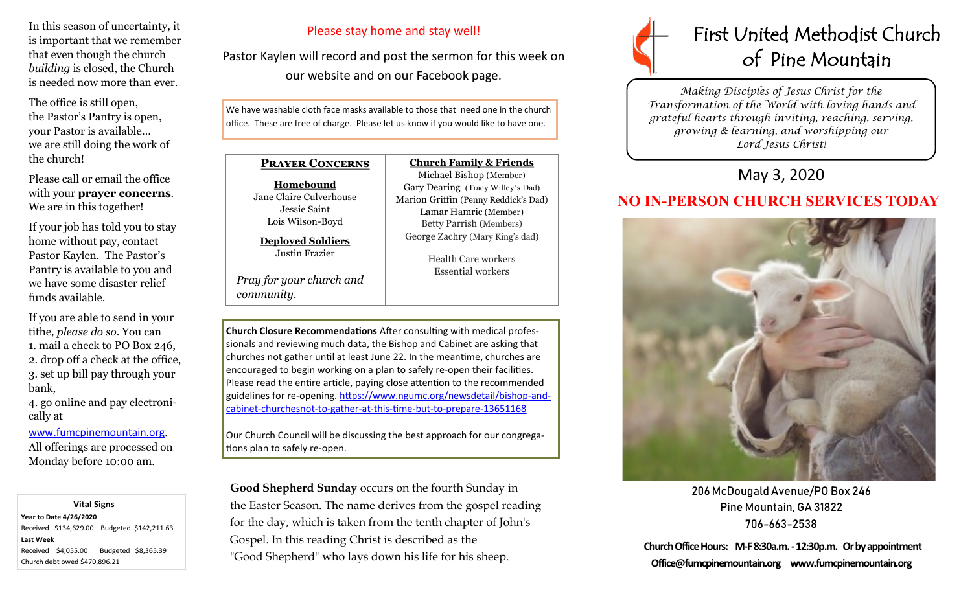In this season of uncertainty, it is important that we remember that even though the church *building* is closed, the Church is needed now more than ever.

The office is still open, the Pastor's Pantry is open, your Pastor is available… we are still doing the work of the church!

Please call or email the office with your **prayer concerns**. We are in this together!

If your job has told you to stay home without pay, contact Pastor Kaylen. The Pastor's Pantry is available to you and we have some disaster relief funds available.

If you are able to send in your tithe*, please do so*. You can 1. mail a check to PO Box 246, 2. drop off a check at the office, 3. set up bill pay through your bank,

4. go online and pay electronically at

[www.fumcpinemountain.org](http://www.fumcpinemountain.org). All offerings are processed on Monday before 10:00 am.

#### **Vital Signs**

**Year to Date 4/26/2020**  Received \$134,629.00 Budgeted \$142,211.63 **Last Week**  Received \$4,055.00 Budgeted \$8,365.39 Church debt owed \$470,896.21

#### Please stay home and stay well!

Pastor Kaylen will record and post the sermon for this week on our website and on our Facebook page.

We have washable cloth face masks available to those that need one in the church office. These are free of charge. Please let us know if you would like to have one.

### **Prayer Concerns**

**Homebound**

Jane Claire Culverhouse Jessie Saint Lois Wilson-Boyd

**Deployed Soldiers** Justin Frazier

*Pray for your church and community*.

Michael Bishop (Member) Gary Dearing (Tracy Willey's Dad) Marion Griffin (Penny Reddick's Dad) Lamar Hamric (Member) Betty Parrish (Members) George Zachry (Mary King's dad)

**Church Family & Friends**

Health Care workers Essential workers

**Church Closure Recommendations** After consulting with medical professionals and reviewing much data, the Bishop and Cabinet are asking that churches not gather until at least June 22. In the meantime, churches are encouraged to begin working on a plan to safely re-open their facilities. Please read the entire article, paying close attention to the recommended guidelines for re-opening. [https://www.ngumc.org/newsdetail/bishop](https://www.ngumc.org/newsdetail/bishop-and-cabinet-churchesnot-to-gather-at-this-time-but-to-prepare-13651168)-andcabinet-[churchesnot](https://www.ngumc.org/newsdetail/bishop-and-cabinet-churchesnot-to-gather-at-this-time-but-to-prepare-13651168)-to-gather-at-this-time-but-to-prepare-13651168

Our Church Council will be discussing the best approach for our congregations plan to safely re-open.

**Good Shepherd Sunday** occurs on the fourth Sunday in the Easter Season. The name derives from the gospel reading for the day, which is taken from the tenth chapter of John's Gospel. In this reading Christ is described as the "Good Shepherd" who lays down his life for his sheep.



*Making Disciples of Jesus Christ for the Transformation of the World with loving hands and grateful hearts through inviting, reaching, serving, growing & learning, and worshipping our Lord Jesus Christ!* 

## May 3, 2020

# **NO IN-PERSON CHURCH SERVICES TODAY**



206 McDougald Avenue/PO Box 246 Pine Mountain, GA 31822 706-663-2538

**Church Office Hours: M-F 8:30a.m. -12:30p.m. Or by appointment Office@fumcpinemountain.org www.fumcpinemountain.org**